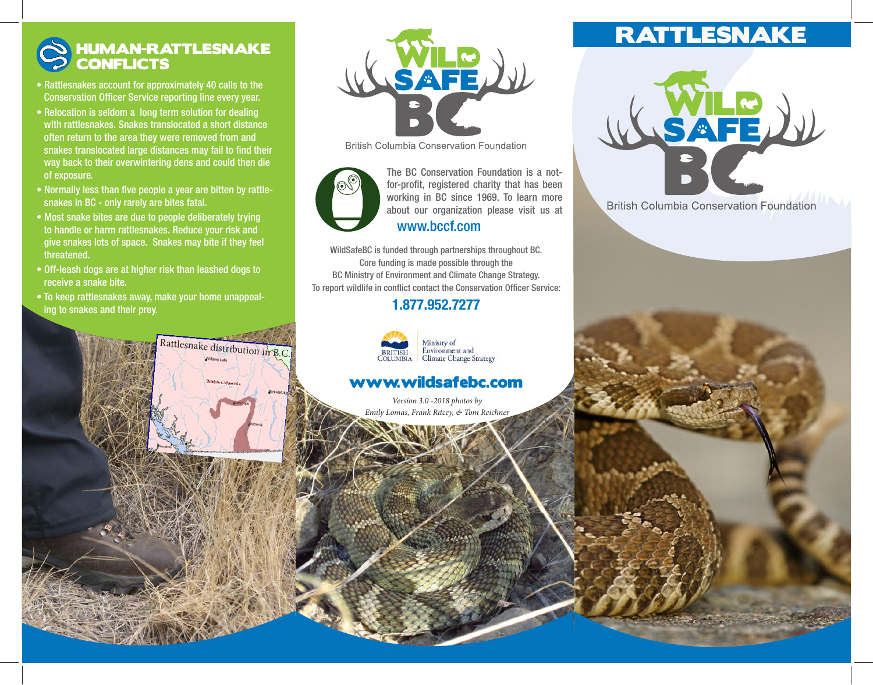## HUMAN-RATTLESNAKE **CONFLICTS**

- Rattlesnakes account for approximately 40 calls to the Conservation Officer Service reporting line every year.
- Relocation is seldom a long term solution for dealing with rattlesnakes. Snakes translocated a short distance often return to the area they were removed from and snakes translocated large distances may fail to find their way back to their overwintering dens and could then die of exposure.
- Normally less than five people a year are bitten by rattle snakes in BC - only rarely are bites fatal.
- Most snake bites are due to people deliberately trying to handle or harm rattlesnakes. Reduce your risk and give snakes lots of space. Snakes may bite if they feel threatened.
- Off-leash dogs are at higher risk than leashed dogs to receive a snake bite.
- To keep rattlesnakes away, make your home unappeal ing to snakes and their prey.

Rattlesnake distribution in B.C.



**British Columbia Conservation Foundation** 



working in BC since 1969. To learn more about our organization please visit us at The BC Conservation Foundation is a notfor-profit, registered charity that has been www.bccf.com

# WildSafeBC is funded through partnerships throughout BC.

Core funding is made possible through the BC Ministry of Environment and Climate Change Strategy. To report wildlife in conflict contact the Conservation Officer Service:

## 1.877.952.7277



### Environment and **Climate Change Strategy**

### www.wildsafebc.com

*Version 3.0 -2018 photos by Emily Lomas, Frank Ritcey, & Tom Reichner*

# RATTLESNAKE